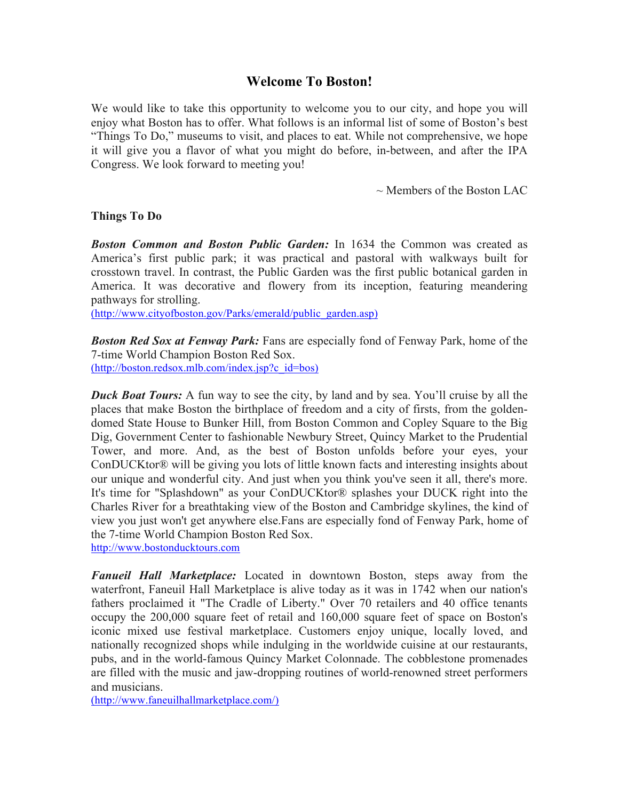## **Welcome To Boston!**

We would like to take this opportunity to welcome you to our city, and hope you will enjoy what Boston has to offer. What follows is an informal list of some of Boston's best "Things To Do," museums to visit, and places to eat. While not comprehensive, we hope it will give you a flavor of what you might do before, in-between, and after the IPA Congress. We look forward to meeting you!

 $\sim$  Members of the Boston LAC

#### **Things To Do**

*Boston Common and Boston Public Garden:* In 1634 the Common was created as America's first public park; it was practical and pastoral with walkways built for crosstown travel. In contrast, the Public Garden was the first public botanical garden in America. It was decorative and flowery from its inception, featuring meandering pathways for strolling.

(http://www.cityofboston.gov/Parks/emerald/public\_garden.asp)

*Boston Red Sox at Fenway Park:* Fans are especially fond of Fenway Park, home of the 7-time World Champion Boston Red Sox. (http://boston.redsox.mlb.com/index.jsp?c\_id=bos)

*Duck Boat Tours:* A fun way to see the city, by land and by sea. You'll cruise by all the places that make Boston the birthplace of freedom and a city of firsts, from the goldendomed State House to Bunker Hill, from Boston Common and Copley Square to the Big Dig, Government Center to fashionable Newbury Street, Quincy Market to the Prudential Tower, and more. And, as the best of Boston unfolds before your eyes, your ConDUCKtor® will be giving you lots of little known facts and interesting insights about our unique and wonderful city. And just when you think you've seen it all, there's more. It's time for "Splashdown" as your ConDUCKtor® splashes your DUCK right into the Charles River for a breathtaking view of the Boston and Cambridge skylines, the kind of view you just won't get anywhere else.Fans are especially fond of Fenway Park, home of the 7-time World Champion Boston Red Sox.

http://www.bostonducktours.com

*Fanueil Hall Marketplace:* Located in downtown Boston, steps away from the waterfront, Faneuil Hall Marketplace is alive today as it was in 1742 when our nation's fathers proclaimed it "The Cradle of Liberty." Over 70 retailers and 40 office tenants occupy the 200,000 square feet of retail and 160,000 square feet of space on Boston's iconic mixed use festival marketplace. Customers enjoy unique, locally loved, and nationally recognized shops while indulging in the worldwide cuisine at our restaurants, pubs, and in the world-famous Quincy Market Colonnade. The cobblestone promenades are filled with the music and jaw-dropping routines of world-renowned street performers and musicians.

(http://www.faneuilhallmarketplace.com/)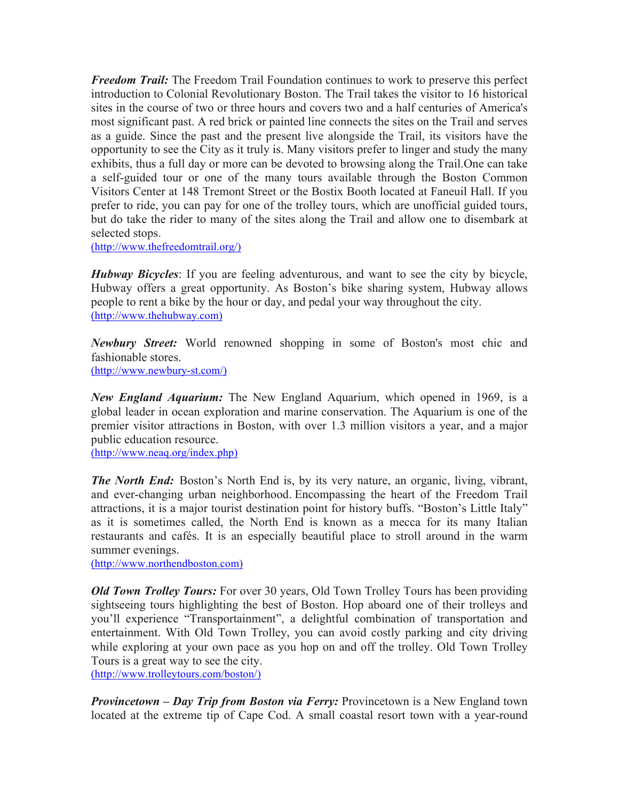*Freedom Trail:* The Freedom Trail Foundation continues to work to preserve this perfect introduction to Colonial Revolutionary Boston. The Trail takes the visitor to 16 historical sites in the course of two or three hours and covers two and a half centuries of America's most significant past. A red brick or painted line connects the sites on the Trail and serves as a guide. Since the past and the present live alongside the Trail, its visitors have the opportunity to see the City as it truly is. Many visitors prefer to linger and study the many exhibits, thus a full day or more can be devoted to browsing along the Trail.One can take a self-guided tour or one of the many tours available through the Boston Common Visitors Center at 148 Tremont Street or the Bostix Booth located at Faneuil Hall. If you prefer to ride, you can pay for one of the trolley tours, which are unofficial guided tours, but do take the rider to many of the sites along the Trail and allow one to disembark at selected stops.

(http://www.thefreedomtrail.org/)

*Hubway Bicycles*: If you are feeling adventurous, and want to see the city by bicycle, Hubway offers a great opportunity. As Boston's bike sharing system, Hubway allows people to rent a bike by the hour or day, and pedal your way throughout the city. (http://www.thehubway.com)

*Newbury Street:* World renowned shopping in some of Boston's most chic and fashionable stores.

(http://www.newbury-st.com/)

*New England Aquarium:* The New England Aquarium, which opened in 1969, is a global leader in ocean exploration and marine conservation. The Aquarium is one of the premier visitor attractions in Boston, with over 1.3 million visitors a year, and a major public education resource.

(http://www.neaq.org/index.php)

*The North End:* Boston's North End is, by its very nature, an organic, living, vibrant, and ever-changing urban neighborhood. Encompassing the heart of the Freedom Trail attractions, it is a major tourist destination point for history buffs. "Boston's Little Italy" as it is sometimes called, the North End is known as a mecca for its many Italian restaurants and cafés. It is an especially beautiful place to stroll around in the warm summer evenings.

(http://www.northendboston.com)

*Old Town Trolley Tours:* For over 30 years, Old Town Trolley Tours has been providing sightseeing tours highlighting the best of Boston. Hop aboard one of their trolleys and you'll experience "Transportainment", a delightful combination of transportation and entertainment. With Old Town Trolley, you can avoid costly parking and city driving while exploring at your own pace as you hop on and off the trolley. Old Town Trolley Tours is a great way to see the city.

(http://www.trolleytours.com/boston/)

*Provincetown – Day Trip from Boston via Ferry:* Provincetown is a New England town located at the extreme tip of Cape Cod. A small coastal resort town with a year-round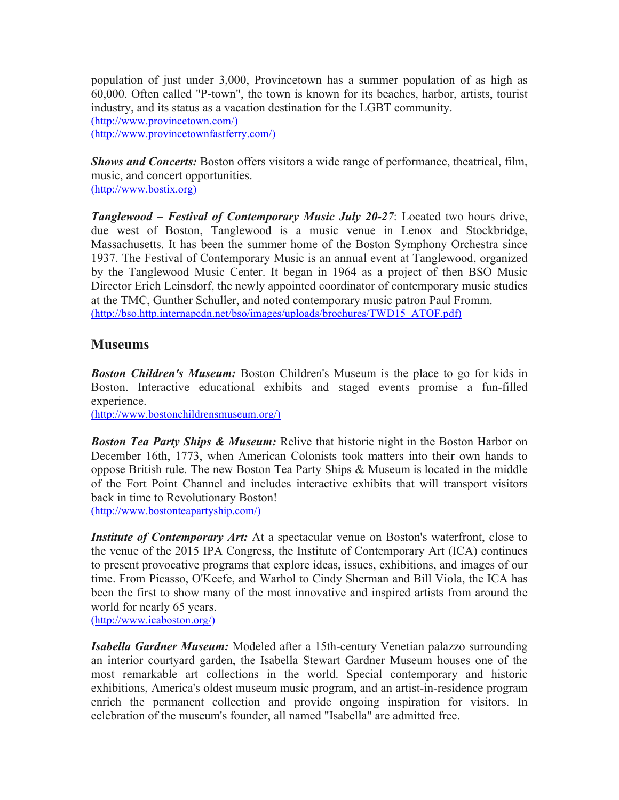population of just under 3,000, Provincetown has a summer population of as high as 60,000. Often called "P-town", the town is known for its beaches, harbor, artists, tourist industry, and its status as a vacation destination for the LGBT community. (http://www.provincetown.com/) (http://www.provincetownfastferry.com/)

*Shows and Concerts:* Boston offers visitors a wide range of performance, theatrical, film, music, and concert opportunities. (http://www.bostix.org)

*Tanglewood – Festival of Contemporary Music July 20-27*: Located two hours drive, due west of Boston, Tanglewood is a music venue in Lenox and Stockbridge, Massachusetts. It has been the summer home of the Boston Symphony Orchestra since 1937. The Festival of Contemporary Music is an annual event at Tanglewood, organized by the Tanglewood Music Center. It began in 1964 as a project of then BSO Music Director Erich Leinsdorf, the newly appointed coordinator of contemporary music studies at the TMC, Gunther Schuller, and noted contemporary music patron Paul Fromm. (http://bso.http.internapcdn.net/bso/images/uploads/brochures/TWD15\_ATOF.pdf)

#### **Museums**

*Boston Children's Museum:* Boston Children's Museum is the place to go for kids in Boston. Interactive educational exhibits and staged events promise a fun-filled experience.

(http://www.bostonchildrensmuseum.org/)

*Boston Tea Party Ships & Museum:* Relive that historic night in the Boston Harbor on December 16th, 1773, when American Colonists took matters into their own hands to oppose British rule. The new Boston Tea Party Ships & Museum is located in the middle of the Fort Point Channel and includes interactive exhibits that will transport visitors back in time to Revolutionary Boston! (http://www.bostonteapartyship.com/)

*Institute of Contemporary Art:* At a spectacular venue on Boston's waterfront, close to the venue of the 2015 IPA Congress, the Institute of Contemporary Art (ICA) continues to present provocative programs that explore ideas, issues, exhibitions, and images of our time. From Picasso, O'Keefe, and Warhol to Cindy Sherman and Bill Viola, the ICA has been the first to show many of the most innovative and inspired artists from around the world for nearly 65 years.

(http://www.icaboston.org/)

*Isabella Gardner Museum:* Modeled after a 15th-century Venetian palazzo surrounding an interior courtyard garden, the Isabella Stewart Gardner Museum houses one of the most remarkable art collections in the world. Special contemporary and historic exhibitions, America's oldest museum music program, and an artist-in-residence program enrich the permanent collection and provide ongoing inspiration for visitors. In celebration of the museum's founder, all named "Isabella" are admitted free.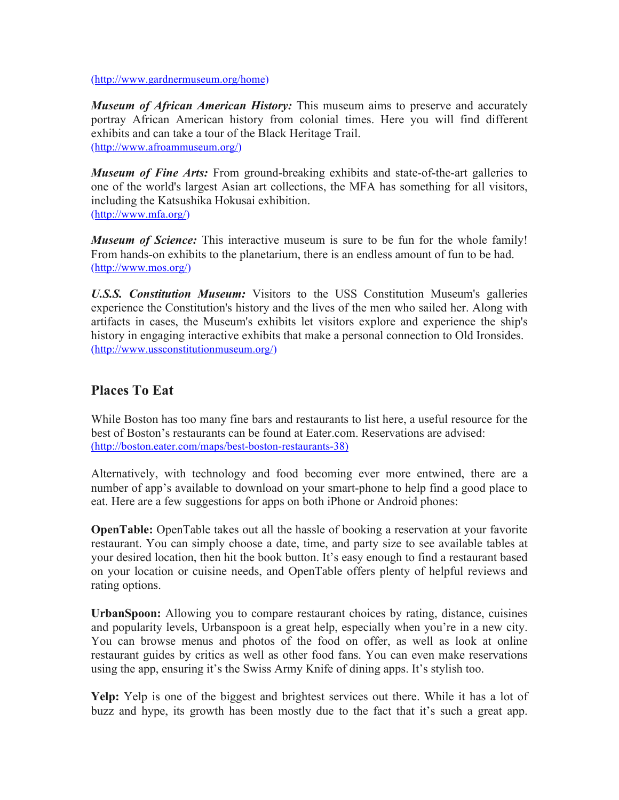(http://www.gardnermuseum.org/home)

*Museum of African American History:* This museum aims to preserve and accurately portray African American history from colonial times. Here you will find different exhibits and can take a tour of the Black Heritage Trail. (http://www.afroammuseum.org/)

*Museum of Fine Arts:* From ground-breaking exhibits and state-of-the-art galleries to one of the world's largest Asian art collections, the MFA has something for all visitors, including the Katsushika Hokusai exhibition. (http://www.mfa.org/)

*Museum of Science:* This interactive museum is sure to be fun for the whole family! From hands-on exhibits to the planetarium, there is an endless amount of fun to be had. (http://www.mos.org/)

*U.S.S. Constitution Museum:* Visitors to the USS Constitution Museum's galleries experience the Constitution's history and the lives of the men who sailed her. Along with artifacts in cases, the Museum's exhibits let visitors explore and experience the ship's history in engaging interactive exhibits that make a personal connection to Old Ironsides. (http://www.ussconstitutionmuseum.org/)

## **Places To Eat**

While Boston has too many fine bars and restaurants to list here, a useful resource for the best of Boston's restaurants can be found at Eater.com. Reservations are advised: (http://boston.eater.com/maps/best-boston-restaurants-38)

Alternatively, with technology and food becoming ever more entwined, there are a number of app's available to download on your smart-phone to help find a good place to eat. Here are a few suggestions for apps on both iPhone or Android phones:

**OpenTable:** OpenTable takes out all the hassle of booking a reservation at your favorite restaurant. You can simply choose a date, time, and party size to see available tables at your desired location, then hit the book button. It's easy enough to find a restaurant based on your location or cuisine needs, and OpenTable offers plenty of helpful reviews and rating options.

**UrbanSpoon:** Allowing you to compare restaurant choices by rating, distance, cuisines and popularity levels, Urbanspoon is a great help, especially when you're in a new city. You can browse menus and photos of the food on offer, as well as look at online restaurant guides by critics as well as other food fans. You can even make reservations using the app, ensuring it's the Swiss Army Knife of dining apps. It's stylish too.

**Yelp:** Yelp is one of the biggest and brightest services out there. While it has a lot of buzz and hype, its growth has been mostly due to the fact that it's such a great app.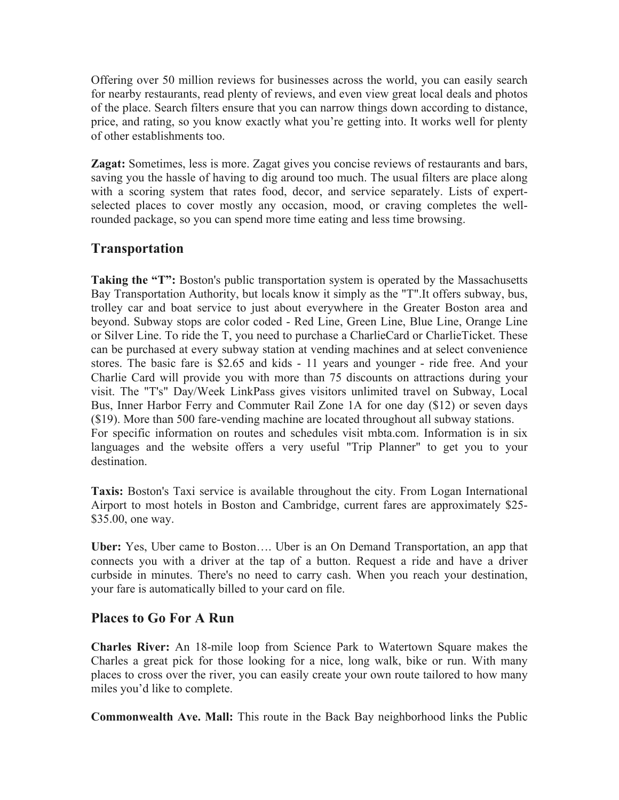Offering over 50 million reviews for businesses across the world, you can easily search for nearby restaurants, read plenty of reviews, and even view great local deals and photos of the place. Search filters ensure that you can narrow things down according to distance, price, and rating, so you know exactly what you're getting into. It works well for plenty of other establishments too.

**Zagat:** Sometimes, less is more. Zagat gives you concise reviews of restaurants and bars, saving you the hassle of having to dig around too much. The usual filters are place along with a scoring system that rates food, decor, and service separately. Lists of expertselected places to cover mostly any occasion, mood, or craving completes the wellrounded package, so you can spend more time eating and less time browsing.

## **Transportation**

**Taking the "T":** Boston's public transportation system is operated by the Massachusetts Bay Transportation Authority, but locals know it simply as the "T".It offers subway, bus, trolley car and boat service to just about everywhere in the Greater Boston area and beyond. Subway stops are color coded - Red Line, Green Line, Blue Line, Orange Line or Silver Line. To ride the T, you need to purchase a CharlieCard or CharlieTicket. These can be purchased at every subway station at vending machines and at select convenience stores. The basic fare is \$2.65 and kids - 11 years and younger - ride free. And your Charlie Card will provide you with more than 75 discounts on attractions during your visit. The "T's" Day/Week LinkPass gives visitors unlimited travel on Subway, Local Bus, Inner Harbor Ferry and Commuter Rail Zone 1A for one day (\$12) or seven days (\$19). More than 500 fare-vending machine are located throughout all subway stations. For specific information on routes and schedules visit mbta.com. Information is in six languages and the website offers a very useful "Trip Planner" to get you to your destination.

**Taxis:** Boston's Taxi service is available throughout the city. From Logan International Airport to most hotels in Boston and Cambridge, current fares are approximately \$25- \$35.00, one way.

**Uber:** Yes, Uber came to Boston…. Uber is an On Demand Transportation, an app that connects you with a driver at the tap of a button. Request a ride and have a driver curbside in minutes. There's no need to carry cash. When you reach your destination, your fare is automatically billed to your card on file.

## **Places to Go For A Run**

**Charles River:** An 18-mile loop from Science Park to Watertown Square makes the Charles a great pick for those looking for a nice, long walk, bike or run. With many places to cross over the river, you can easily create your own route tailored to how many miles you'd like to complete.

**Commonwealth Ave. Mall:** This route in the Back Bay neighborhood links the Public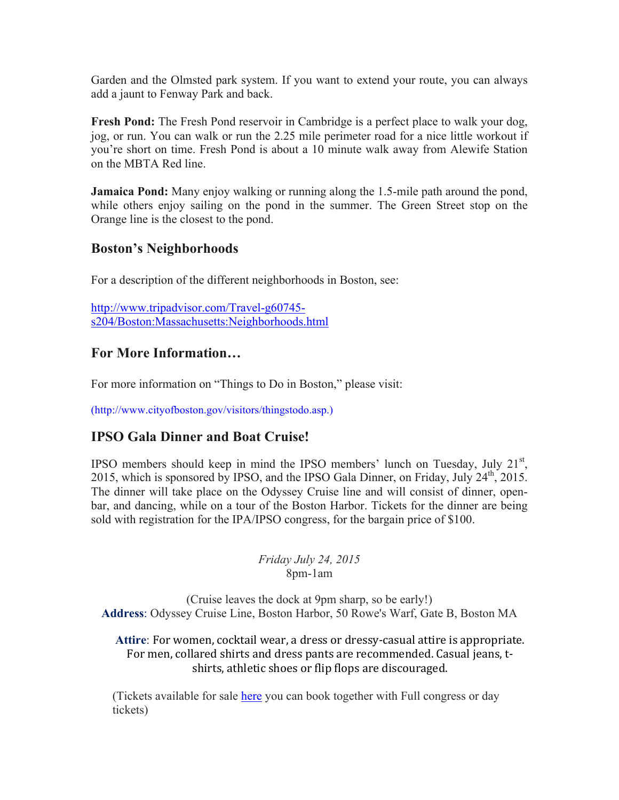Garden and the Olmsted park system. If you want to extend your route, you can always add a jaunt to Fenway Park and back.

**Fresh Pond:** The Fresh Pond reservoir in Cambridge is a perfect place to walk your dog, jog, or run. You can walk or run the 2.25 mile perimeter road for a nice little workout if you're short on time. Fresh Pond is about a 10 minute walk away from Alewife Station on the MBTA Red line.

**Jamaica Pond:** Many enjoy walking or running along the 1.5-mile path around the pond, while others enjoy sailing on the pond in the summer. The Green Street stop on the Orange line is the closest to the pond.

## **Boston's Neighborhoods**

For a description of the different neighborhoods in Boston, see:

http://www.tripadvisor.com/Travel-g60745 s204/Boston:Massachusetts:Neighborhoods.html

## **For More Information…**

For more information on "Things to Do in Boston," please visit:

(http://www.cityofboston.gov/visitors/thingstodo.asp.)

## **IPSO Gala Dinner and Boat Cruise!**

IPSO members should keep in mind the IPSO members' lunch on Tuesday, July  $21<sup>st</sup>$ , 2015, which is sponsored by IPSO, and the IPSO Gala Dinner, on Friday, July  $24<sup>th</sup>$ ,  $2015$ . The dinner will take place on the Odyssey Cruise line and will consist of dinner, openbar, and dancing, while on a tour of the Boston Harbor. Tickets for the dinner are being sold with registration for the IPA/IPSO congress, for the bargain price of \$100.

#### *Friday July 24, 2015* 8pm-1am

(Cruise leaves the dock at 9pm sharp, so be early!) **Address**: Odyssey Cruise Line, Boston Harbor, 50 Rowe's Warf, Gate B, Boston MA

Attire: For women, cocktail wear, a dress or dressy-casual attire is appropriate. For men, collared shirts and dress pants are recommended. Casual jeans, tshirts, athletic shoes or flip flops are discouraged.

(Tickets available for sale here you can book together with Full congress or day tickets)